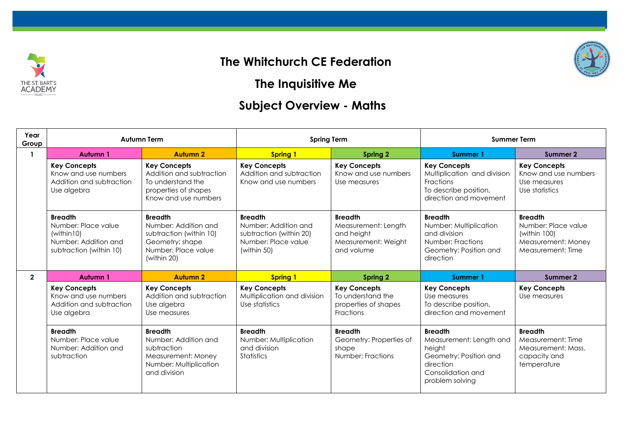

## **The Whitchurch CE Federation**



## **The Inquisitive Me**

## **Subject Overview - Maths**

| Year<br>Group  | <b>Autumn Term</b>                                                                                     |                                                                                                                            | <b>Spring Term</b>                                                                                      |                                                                                          | <b>Summer Term</b>                                                                                                                 |                                                                                                  |
|----------------|--------------------------------------------------------------------------------------------------------|----------------------------------------------------------------------------------------------------------------------------|---------------------------------------------------------------------------------------------------------|------------------------------------------------------------------------------------------|------------------------------------------------------------------------------------------------------------------------------------|--------------------------------------------------------------------------------------------------|
|                | Autumn 1                                                                                               | <b>Autumn 2</b>                                                                                                            | <b>Spring 1</b>                                                                                         | <b>Spring 2</b>                                                                          | Summer 1                                                                                                                           | Summer 2                                                                                         |
|                | <b>Key Concepts</b><br>Know and use numbers<br>Addition and subtraction<br>Use algebra                 | <b>Key Concepts</b><br>Addition and subtraction<br>To understand the<br>properties of shapes<br>Know and use numbers       | <b>Key Concepts</b><br>Addition and subtraction<br>Know and use numbers                                 | <b>Key Concepts</b><br>Know and use numbers<br>Use measures                              | <b>Key Concepts</b><br>Multiplication and division<br>Fractions<br>To describe position,<br>direction and movement                 | <b>Key Concepts</b><br>Know and use numbers<br>Use measures<br>Use statistics                    |
|                | <b>Breadth</b><br>Number: Place value<br>(within10)<br>Number: Addition and<br>subtraction (within 10) | <b>Breadth</b><br>Number: Addition and<br>subtraction (within 10)<br>Geometry: shape<br>Number: Place value<br>(within 20) | <b>Breadth</b><br>Number: Addition and<br>subtraction (within 20)<br>Number: Place value<br>(within 50) | <b>Breadth</b><br>Measurement: Length<br>and height<br>Measurement: Weight<br>and volume | <b>Breadth</b><br>Number: Multiplication<br>and division<br>Number: Fractions<br>Geometry: Position and<br>direction               | <b>Breadth</b><br>Number: Place value<br>(within 100)<br>Measurement: Money<br>Measurement: Time |
| $\overline{2}$ | Autumn 1                                                                                               | <b>Autumn 2</b>                                                                                                            | <b>Spring 1</b>                                                                                         | <b>Spring 2</b>                                                                          | Summer 1                                                                                                                           | Summer 2                                                                                         |
|                | <b>Key Concepts</b><br>Know and use numbers<br>Addition and subtraction<br>Use algebra                 | <b>Key Concepts</b><br>Addition and subtraction<br>Use algebra<br>Use measures                                             | <b>Key Concepts</b><br>Multiplication and division<br>Use statistics                                    | <b>Key Concepts</b><br>To understand the<br>properties of shapes<br>Fractions            | <b>Key Concepts</b><br>Use measures<br>To describe position,<br>direction and movement                                             | <b>Key Concepts</b><br>Use measures                                                              |
|                | <b>Breadth</b><br>Number: Place value<br>Number: Addition and<br>subtraction                           | <b>Breadth</b><br>Number: Addition and<br>subtraction<br>Measurement: Money<br>Number: Multiplication<br>and division      | <b>Breadth</b><br>Number: Multiplication<br>and division<br>Statistics                                  | <b>Breadth</b><br>Geometry: Properties of<br>shape<br>Number: Fractions                  | <b>Breadth</b><br>Measurement: Length and<br>height<br>Geometry: Position and<br>direction<br>Consolidation and<br>problem solving | <b>Breadth</b><br>Measurement: Time<br>Measurement: Mass,<br>capacity and<br>temperature         |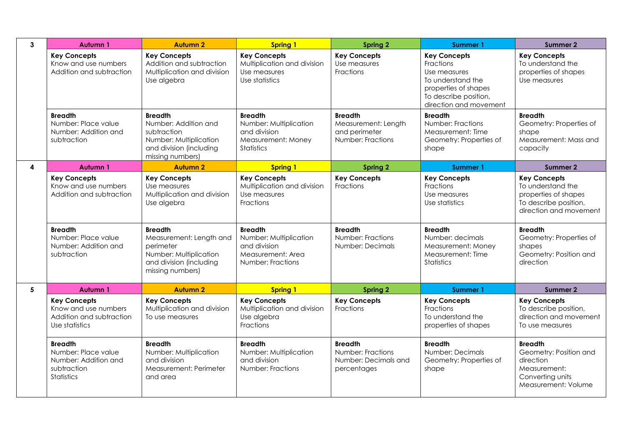| $\mathbf{3}$ | Autumn 1                                                                                          | <b>Autumn 2</b>                                                                                                                 | <b>Spring 1</b>                                                                                     | <b>Spring 2</b>                                                             | <b>Summer 1</b>                                                                                                                                  | Summer 2                                                                                                            |
|--------------|---------------------------------------------------------------------------------------------------|---------------------------------------------------------------------------------------------------------------------------------|-----------------------------------------------------------------------------------------------------|-----------------------------------------------------------------------------|--------------------------------------------------------------------------------------------------------------------------------------------------|---------------------------------------------------------------------------------------------------------------------|
|              | <b>Key Concepts</b><br>Know and use numbers<br>Addition and subtraction                           | <b>Key Concepts</b><br>Addition and subtraction<br>Multiplication and division<br>Use algebra                                   | <b>Key Concepts</b><br>Multiplication and division<br>Use measures<br>Use statistics                | <b>Key Concepts</b><br>Use measures<br>Fractions                            | <b>Key Concepts</b><br>Fractions<br>Use measures<br>To understand the<br>properties of shapes<br>To describe position,<br>direction and movement | <b>Key Concepts</b><br>To understand the<br>properties of shapes<br>Use measures                                    |
|              | <b>Breadth</b><br>Number: Place value<br>Number: Addition and<br>subtraction                      | <b>Breadth</b><br>Number: Addition and<br>subtraction<br>Number: Multiplication<br>and division (including<br>missing numbers)  | <b>Breadth</b><br>Number: Multiplication<br>and division<br>Measurement: Money<br><b>Statistics</b> | <b>Breadth</b><br>Measurement: Length<br>and perimeter<br>Number: Fractions | <b>Breadth</b><br>Number: Fractions<br>Measurement: Time<br>Geometry: Properties of<br>shape                                                     | <b>Breadth</b><br>Geometry: Properties of<br>shape<br>Measurement: Mass and<br>capacity                             |
| 4            | Autumn 1                                                                                          | <b>Autumn 2</b>                                                                                                                 | <b>Spring 1</b>                                                                                     | <b>Spring 2</b>                                                             | <b>Summer 1</b>                                                                                                                                  | Summer 2                                                                                                            |
|              | <b>Key Concepts</b><br>Know and use numbers<br>Addition and subtraction                           | <b>Key Concepts</b><br>Use measures<br>Multiplication and division<br>Use algebra                                               | <b>Key Concepts</b><br>Multiplication and division<br>Use measures<br>Fractions                     | <b>Key Concepts</b><br>Fractions                                            | <b>Key Concepts</b><br>Fractions<br>Use measures<br>Use statistics                                                                               | <b>Key Concepts</b><br>To understand the<br>properties of shapes<br>To describe position,<br>direction and movement |
|              | <b>Breadth</b><br>Number: Place value<br>Number: Addition and<br>subtraction                      | <b>Breadth</b><br>Measurement: Length and<br>perimeter<br>Number: Multiplication<br>and division (including<br>missing numbers) | <b>Breadth</b><br>Number: Multiplication<br>and division<br>Measurement: Area<br>Number: Fractions  | <b>Breadth</b><br>Number: Fractions<br>Number: Decimals                     | <b>Breadth</b><br>Number: decimals<br>Measurement: Money<br>Measurement: Time<br><b>Statistics</b>                                               | <b>Breadth</b><br>Geometry: Properties of<br>shapes<br>Geometry: Position and<br>direction                          |
| 5            | Autumn 1                                                                                          | <b>Autumn 2</b>                                                                                                                 | <b>Spring 1</b>                                                                                     | <b>Spring 2</b>                                                             | <b>Summer 1</b>                                                                                                                                  | Summer 2                                                                                                            |
|              | <b>Key Concepts</b><br>Know and use numbers<br>Addition and subtraction<br>Use statistics         | <b>Key Concepts</b><br>Multiplication and division<br>To use measures                                                           | <b>Key Concepts</b><br>Multiplication and division<br>Use algebra<br>Fractions                      | <b>Key Concepts</b><br>Fractions                                            | <b>Key Concepts</b><br>Fractions<br>To understand the<br>properties of shapes                                                                    | <b>Key Concepts</b><br>To describe position,<br>direction and movement<br>To use measures                           |
|              | <b>Breadth</b><br>Number: Place value<br>Number: Addition and<br>subtraction<br><b>Statistics</b> | <b>Breadth</b><br>Number: Multiplication<br>and division<br>Measurement: Perimeter<br>and area                                  | <b>Breadth</b><br>Number: Multiplication<br>and division<br>Number: Fractions                       | <b>Breadth</b><br>Number: Fractions<br>Number: Decimals and<br>percentages  | <b>Breadth</b><br>Number: Decimals<br>Geometry: Properties of<br>shape                                                                           | <b>Breadth</b><br>Geometry: Position and<br>direction<br>Measurement:<br>Converting units<br>Measurement: Volume    |